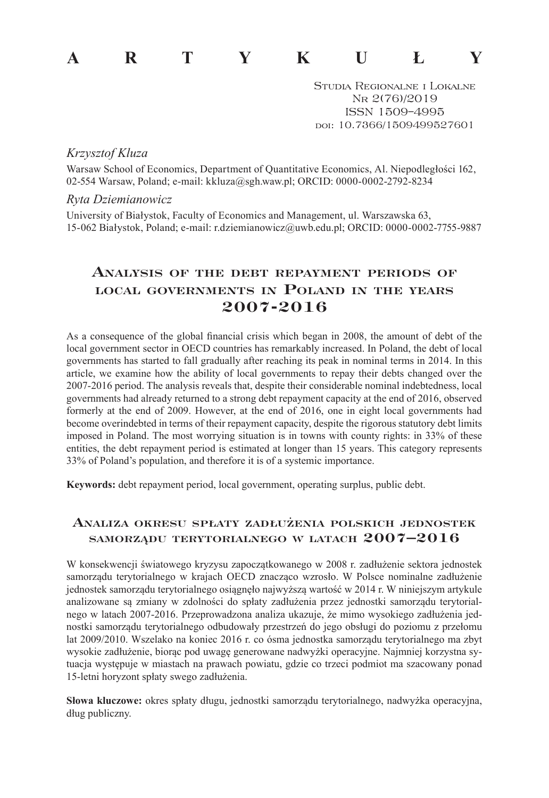# **ARTYKUŁY**

Studia Regionalne i Lokalne Nr 2(76)/2019 ISSN 1509–4995 doi: 10.7366/1509499527601

#### *Krzysztof Kluza*

Warsaw School of Economics, Department of Quantitative Economics, Al. Niepodległości 162, 02-554 Warsaw, Poland; e-mail: kkluza@sgh.waw.pl; ORCID: 0000-0002-2792-8234

#### *Ryta Dziemianowicz*

University of Białystok, Faculty of Economics and Management, ul. Warszawska 63, 15-062 Białystok, Poland; e-mail: r.dziemianowicz@uwb.edu.pl; ORCID: 0000-0002-7755-9887

# **Analysis of the debt repayment periods… of local governments in Poland in the years 2007-2016**

As a consequence of the global financial crisis which began in 2008, the amount of debt of the local government sector in OECD countries has remarkably increased. In Poland, the debt of local governments has started to fall gradually after reaching its peak in nominal terms in 2014. In this article, we examine how the ability of local governments to repay their debts changed over the 2007-2016 period. The analysis reveals that, despite their considerable nominal indebtedness, local governments had already returned to a strong debt repayment capacity at the end of 2016, observed formerly at the end of 2009. However, at the end of 2016, one in eight local governments had become overindebted in terms of their repayment capacity, despite the rigorous statutory debt limits imposed in Poland. The most worrying situation is in towns with county rights: in 33% of these entities, the debt repayment period is estimated at longer than 15 years. This category represents 33% of Poland's population, and therefore it is of a systemic importance.

**Keywords:** debt repayment period, local government, operating surplus, public debt.

## **Analiza okresu spłaty zadłużenia polskich jednostek samorządu terytorialnego <sup>w</sup> latach 2007–2016**

W konsekwencji światowego kryzysu zapoczątkowanego w 2008 r. zadłużenie sektora jednostek samorządu terytorialnego w krajach OECD znacząco wzrosło. W Polsce nominalne zadłużenie jednostek samorządu terytorialnego osiągnęło najwyższą wartość w 2014 r. W niniejszym artykule analizowane są zmiany w zdolności do spłaty zadłużenia przez jednostki samorządu terytorialnego w latach 2007-2016. Przeprowadzona analiza ukazuje, że mimo wysokiego zadłużenia jednostki samorządu terytorialnego odbudowały przestrzeń do jego obsługi do poziomu z przełomu lat 2009/2010. Wszelako na koniec 2016 r. co ósma jednostka samorządu terytorialnego ma zbyt wysokie zadłużenie, biorąc pod uwagę generowane nadwyżki operacyjne. Najmniej korzystna sytuacja występuje w miastach na prawach powiatu, gdzie co trzeci podmiot ma szacowany ponad 15-letni horyzont spłaty swego zadłużenia.

**Słowa kluczowe:** okres spłaty długu, jednostki samorządu terytorialnego, nadwyżka operacyjna, dług publiczny.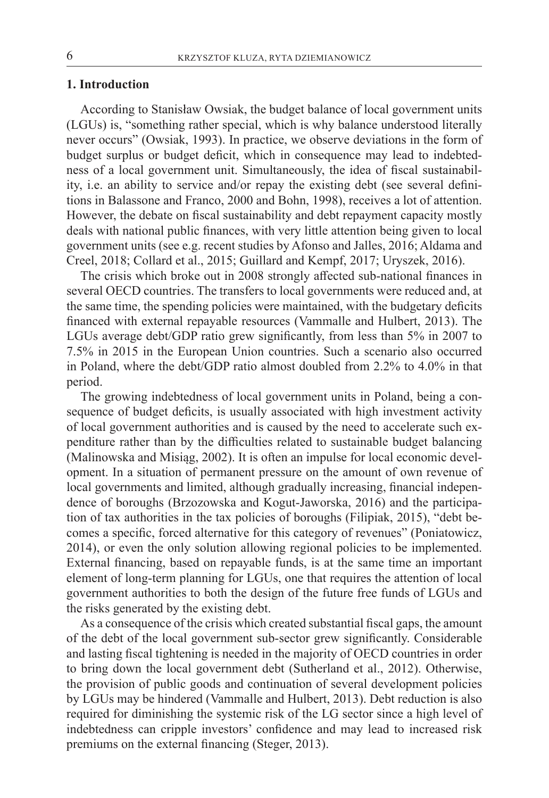#### **1. Introduction**

According to Stanisław Owsiak, the budget balance of local government units (LGUs) is, "something rather special, which is why balance understood literally never occurs" (Owsiak, 1993). In practice, we observe deviations in the form of budget surplus or budget deficit, which in consequence may lead to indebtedness of a local government unit. Simultaneously, the idea of fiscal sustainability, i.e. an ability to service and/or repay the existing debt (see several definitions in Balassone and Franco, 2000 and Bohn, 1998), receives a lot of attention. However, the debate on fiscal sustainability and debt repayment capacity mostly deals with national public finances, with very little attention being given to local government units (see e.g. recent studies by Afonso and Jalles, 2016; Aldama and Creel, 2018; Collard et al., 2015; Guillard and Kempf, 2017; Uryszek, 2016).

The crisis which broke out in 2008 strongly affected sub-national finances in several OECD countries. The transfers to local governments were reduced and, at the same time, the spending policies were maintained, with the budgetary deficits financed with external repayable resources (Vammalle and Hulbert, 2013). The LGUs average debt/GDP ratio grew significantly, from less than 5% in 2007 to 7.5% in 2015 in the European Union countries. Such a scenario also occurred in Poland, where the debt/GDP ratio almost doubled from 2.2% to 4.0% in that period.

The growing indebtedness of local government units in Poland, being a consequence of budget deficits, is usually associated with high investment activity of local government authorities and is caused by the need to accelerate such expenditure rather than by the difficulties related to sustainable budget balancing (Malinowska and Misiąg, 2002). It is often an impulse for local economic development. In a situation of permanent pressure on the amount of own revenue of local governments and limited, although gradually increasing, financial independence of boroughs (Brzozowska and Kogut-Jaworska, 2016) and the participation of tax authorities in the tax policies of boroughs (Filipiak, 2015), "debt becomes a specific, forced alternative for this category of revenues" (Poniatowicz, 2014), or even the only solution allowing regional policies to be implemented. External financing, based on repayable funds, is at the same time an important element of long-term planning for LGUs, one that requires the attention of local government authorities to both the design of the future free funds of LGUs and the risks generated by the existing debt.

As a consequence of the crisis which created substantial fiscal gaps, the amount of the debt of the local government sub-sector grew significantly. Considerable and lasting fiscal tightening is needed in the majority of OECD countries in order to bring down the local government debt (Sutherland et al., 2012). Otherwise, the provision of public goods and continuation of several development policies by LGUs may be hindered (Vammalle and Hulbert, 2013). Debt reduction is also required for diminishing the systemic risk of the LG sector since a high level of indebtedness can cripple investors' confidence and may lead to increased risk premiums on the external financing (Steger, 2013).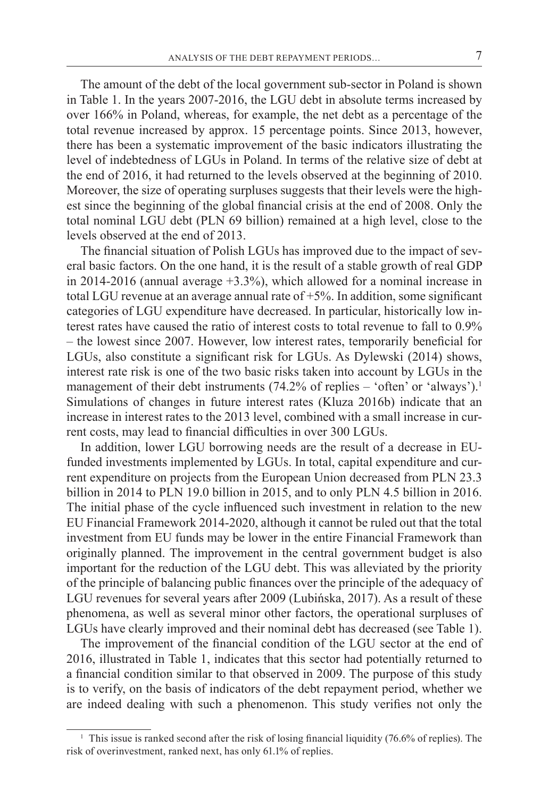The amount of the debt of the local government sub-sector in Poland is shown in Table 1. In the years 2007-2016, the LGU debt in absolute terms increased by over 166% in Poland, whereas, for example, the net debt as a percentage of the total revenue increased by approx. 15 percentage points. Since 2013, however, there has been a systematic improvement of the basic indicators illustrating the level of indebtedness of LGUs in Poland. In terms of the relative size of debt at the end of 2016, it had returned to the levels observed at the beginning of 2010. Moreover, the size of operating surpluses suggests that their levels were the highest since the beginning of the global financial crisis at the end of 2008. Only the total nominal LGU debt (PLN 69 billion) remained at a high level, close to the levels observed at the end of 2013.

The financial situation of Polish LGUs has improved due to the impact of several basic factors. On the one hand, it is the result of a stable growth of real GDP in 2014-2016 (annual average +3.3%), which allowed for a nominal increase in total LGU revenue at an average annual rate of +5%. In addition, some significant categories of LGU expenditure have decreased. In particular, historically low interest rates have caused the ratio of interest costs to total revenue to fall to 0.9% – the lowest since 2007. However, low interest rates, temporarily beneficial for LGUs, also constitute a significant risk for LGUs. As Dylewski (2014) shows, interest rate risk is one of the two basic risks taken into account by LGUs in the management of their debt instruments  $(74.2\%$  of replies – 'often' or 'always').<sup>1</sup> Simulations of changes in future interest rates (Kluza 2016b) indicate that an increase in interest rates to the 2013 level, combined with a small increase in current costs, may lead to financial difficulties in over 300 LGUs.

In addition, lower LGU borrowing needs are the result of a decrease in EUfunded investments implemented by LGUs. In total, capital expenditure and current expenditure on projects from the European Union decreased from PLN 23.3 billion in 2014 to PLN 19.0 billion in 2015, and to only PLN 4.5 billion in 2016. The initial phase of the cycle influenced such investment in relation to the new EU Financial Framework 2014-2020, although it cannot be ruled out that the total investment from EU funds may be lower in the entire Financial Framework than originally planned. The improvement in the central government budget is also important for the reduction of the LGU debt. This was alleviated by the priority of the principle of balancing public finances over the principle of the adequacy of LGU revenues for several years after 2009 (Lubińska, 2017). As a result of these phenomena, as well as several minor other factors, the operational surpluses of LGUs have clearly improved and their nominal debt has decreased (see Table 1).

The improvement of the financial condition of the LGU sector at the end of 2016, illustrated in Table 1, indicates that this sector had potentially returned to a financial condition similar to that observed in 2009. The purpose of this study is to verify, on the basis of indicators of the debt repayment period, whether we are indeed dealing with such a phenomenon. This study verifies not only the

<sup>&</sup>lt;sup>1</sup> This issue is ranked second after the risk of losing financial liquidity (76.6% of replies). The risk of overinvestment, ranked next, has only 61.1% of replies.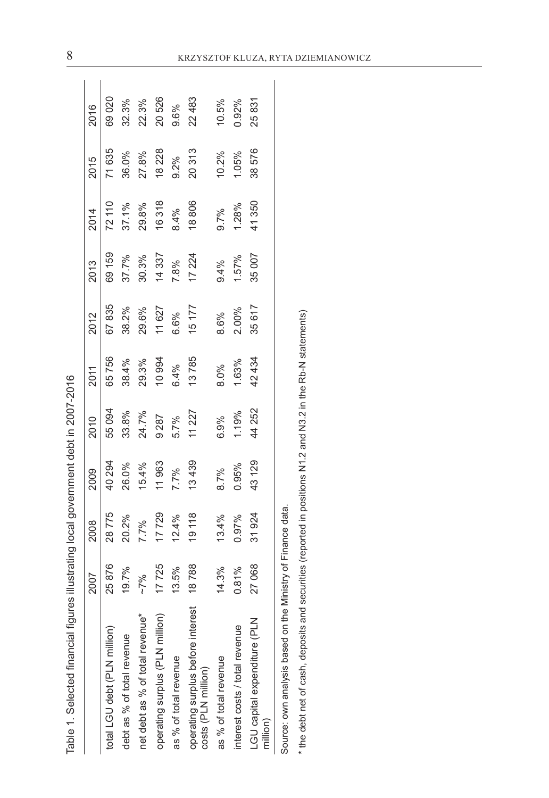| J<br>٢                   |
|--------------------------|
| ۲<br>م<br>ľ<br>ı         |
|                          |
| ¢                        |
| )<br>¢                   |
| j                        |
| l                        |
| .<br>؟                   |
|                          |
|                          |
|                          |
| )                        |
|                          |
|                          |
|                          |
| $\overline{\phantom{a}}$ |
|                          |
|                          |
|                          |
|                          |
|                          |
|                          |
|                          |
| ١                        |
|                          |
| İ                        |
| I<br>)                   |
|                          |
|                          |
| Ī<br>j                   |
|                          |
|                          |
| ï                        |
|                          |
|                          |
|                          |
|                          |
| ì                        |
|                          |
| $-200$                   |
|                          |
| $\ddot{\phantom{a}}$     |
|                          |
| ነ                        |
| í<br>l                   |
|                          |
| $\frac{1}{1}$<br>i       |
| ١                        |
| ļ                        |
|                          |
| í                        |
|                          |
| í                        |
|                          |
|                          |
| ċ<br>l                   |
|                          |
| I                        |
|                          |
| ī                        |
| I                        |
|                          |
|                          |
|                          |
| Φ                        |
|                          |

| Table 1. Selected financial figures illustrating local government debt in 2007-2016                        |       |       |        |        |        |        |        |        |        |          |
|------------------------------------------------------------------------------------------------------------|-------|-------|--------|--------|--------|--------|--------|--------|--------|----------|
|                                                                                                            | 2007  | 2008  | 2009   | 2010   | 2011   | 2012   | 2013   | 2014   | 2015   | 2016     |
| total LGU debt (PLN million)                                                                               | 25876 | 28775 | 40294  | 55094  | 65756  | 67835  | 69 159 | 72 110 | 71 635 | 69020    |
| debt as % of total revenue                                                                                 | 19.7% | 20.2% | 26.0%  | 33.8%  | 38.4%  | 38.2%  | 37.7%  | 37.1%  | 36.0%  | 32.3%    |
| net debt as % of total revenue*                                                                            | ~562  | 7.7%  | 15.4%  | 24.7%  | 29.3%  | 29.6%  | 30.3%  | 29.8%  | 27.8%  | 22.3%    |
| operating surplus (PLN million)                                                                            | 17725 | 17729 | 11963  | 9287   | 10 994 | 11 627 | 14337  | 16318  | 18 228 | 20526    |
| as % of total revenue                                                                                      | 13.5% | 12.4% | 7.7%   | 5.7%   | 6.4%   | 6.6%   | 7.8%   | 8.4%   | 9.2%   | 9.6%     |
| operating surplus before interest<br>costs (PLN million)                                                   | 18788 | 19118 | 13439  | 11 227 | 13785  | 15 177 | 17 224 | 18806  | 20313  | 22 483   |
| as % of total revenue                                                                                      | 14.3% | 13.4% | 8.7%   | 6.9%   | 8.0%   | 8.6%   | 9.4%   | 9.7%   | 10.2%  | 10.5%    |
| interest costs / total revenue                                                                             | 0.81% | 0.97% | 0.95%  | 1.19%  | 1.63%  | 2.00%  | 1.57%  | 1.28%  | 1.05%  | $0.92\%$ |
| LGU capital expenditure (PLN<br>million)                                                                   | 27068 | 31924 | 43 129 | 44 252 | 42 434 | 35617  | 35 007 | 41350  | 38576  | 25831    |
| Source: own analysis based on the Ministry of Finance data.                                                |       |       |        |        |        |        |        |        |        |          |
| the debt net of cash, deposits and securities (reported in positions N1 2 and N3.2 in the Rb-N statements) |       |       |        |        |        |        |        |        |        |          |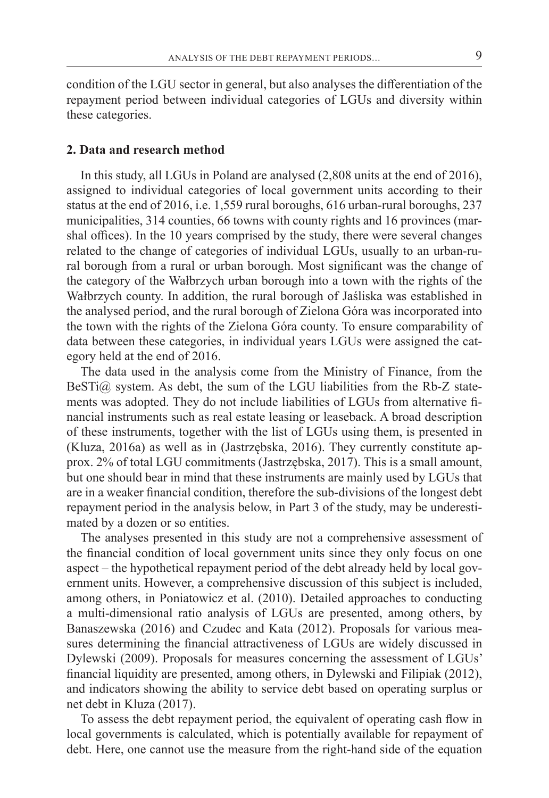condition of the LGU sector in general, but also analyses the differentiation of the repayment period between individual categories of LGUs and diversity within these categories.

### **2. Data and research method**

In this study, all LGUs in Poland are analysed (2,808 units at the end of 2016), assigned to individual categories of local government units according to their status at the end of 2016, i.e. 1,559 rural boroughs, 616 urban-rural boroughs, 237 municipalities, 314 counties, 66 towns with county rights and 16 provinces (marshal offices). In the 10 years comprised by the study, there were several changes related to the change of categories of individual LGUs, usually to an urban-rural borough from a rural or urban borough. Most significant was the change of the category of the Wałbrzych urban borough into a town with the rights of the Wałbrzych county. In addition, the rural borough of Jaśliska was established in the analysed period, and the rural borough of Zielona Góra was incorporated into the town with the rights of the Zielona Góra county. To ensure comparability of data between these categories, in individual years LGUs were assigned the category held at the end of 2016.

The data used in the analysis come from the Ministry of Finance, from the BeSTi@ system. As debt, the sum of the LGU liabilities from the Rb-Z statements was adopted. They do not include liabilities of LGUs from alternative financial instruments such as real estate leasing or leaseback. A broad description of these instruments, together with the list of LGUs using them, is presented in (Kluza, 2016a) as well as in (Jastrzębska, 2016). They currently constitute approx. 2% of total LGU commitments (Jastrzębska, 2017). This is a small amount, but one should bear in mind that these instruments are mainly used by LGUs that are in a weaker financial condition, therefore the sub-divisions of the longest debt repayment period in the analysis below, in Part 3 of the study, may be underestimated by a dozen or so entities.

The analyses presented in this study are not a comprehensive assessment of the financial condition of local government units since they only focus on one aspect – the hypothetical repayment period of the debt already held by local government units. However, a comprehensive discussion of this subject is included, among others, in Poniatowicz et al. (2010). Detailed approaches to conducting a multi-dimensional ratio analysis of LGUs are presented, among others, by Banaszewska (2016) and Czudec and Kata (2012). Proposals for various measures determining the financial attractiveness of LGUs are widely discussed in Dylewski (2009). Proposals for measures concerning the assessment of LGUs' financial liquidity are presented, among others, in Dylewski and Filipiak (2012), and indicators showing the ability to service debt based on operating surplus or net debt in Kluza (2017).

To assess the debt repayment period, the equivalent of operating cash flow in local governments is calculated, which is potentially available for repayment of debt. Here, one cannot use the measure from the right-hand side of the equation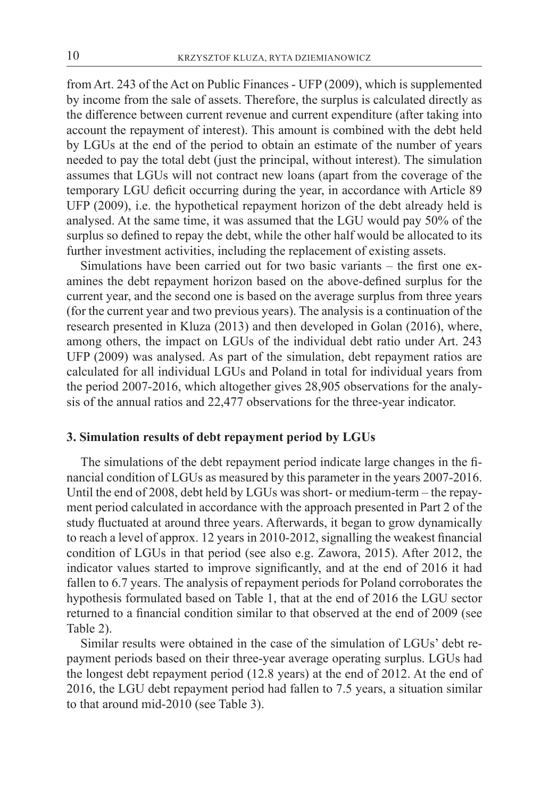from Art. 243 of the Act on Public Finances - UFP (2009), which is supplemented by income from the sale of assets. Therefore, the surplus is calculated directly as the difference between current revenue and current expenditure (after taking into account the repayment of interest). This amount is combined with the debt held by LGUs at the end of the period to obtain an estimate of the number of years needed to pay the total debt (just the principal, without interest). The simulation assumes that LGUs will not contract new loans (apart from the coverage of the temporary LGU deficit occurring during the year, in accordance with Article 89 UFP (2009), i.e. the hypothetical repayment horizon of the debt already held is analysed. At the same time, it was assumed that the LGU would pay 50% of the surplus so defined to repay the debt, while the other half would be allocated to its further investment activities, including the replacement of existing assets.

Simulations have been carried out for two basic variants – the first one examines the debt repayment horizon based on the above-defined surplus for the current year, and the second one is based on the average surplus from three years (for the current year and two previous years). The analysis is a continuation of the research presented in Kluza (2013) and then developed in Golan (2016), where, among others, the impact on LGUs of the individual debt ratio under Art. 243 UFP (2009) was analysed. As part of the simulation, debt repayment ratios are calculated for all individual LGUs and Poland in total for individual years from the period 2007-2016, which altogether gives 28,905 observations for the analysis of the annual ratios and 22,477 observations for the three-year indicator.

### **3. Simulation results of debt repayment period by LGUs**

The simulations of the debt repayment period indicate large changes in the financial condition of LGUs as measured by this parameter in the years 2007-2016. Until the end of 2008, debt held by LGUs was short- or medium-term – the repayment period calculated in accordance with the approach presented in Part 2 of the study fluctuated at around three years. Afterwards, it began to grow dynamically to reach a level of approx. 12 years in 2010-2012, signalling the weakest financial condition of LGUs in that period (see also e.g. Zawora, 2015). After 2012, the indicator values started to improve significantly, and at the end of 2016 it had fallen to 6.7 years. The analysis of repayment periods for Poland corroborates the hypothesis formulated based on Table 1, that at the end of 2016 the LGU sector returned to a financial condition similar to that observed at the end of 2009 (see Table 2).

Similar results were obtained in the case of the simulation of LGUs' debt repayment periods based on their three-year average operating surplus. LGUs had the longest debt repayment period (12.8 years) at the end of 2012. At the end of 2016, the LGU debt repayment period had fallen to 7.5 years, a situation similar to that around mid-2010 (see Table 3).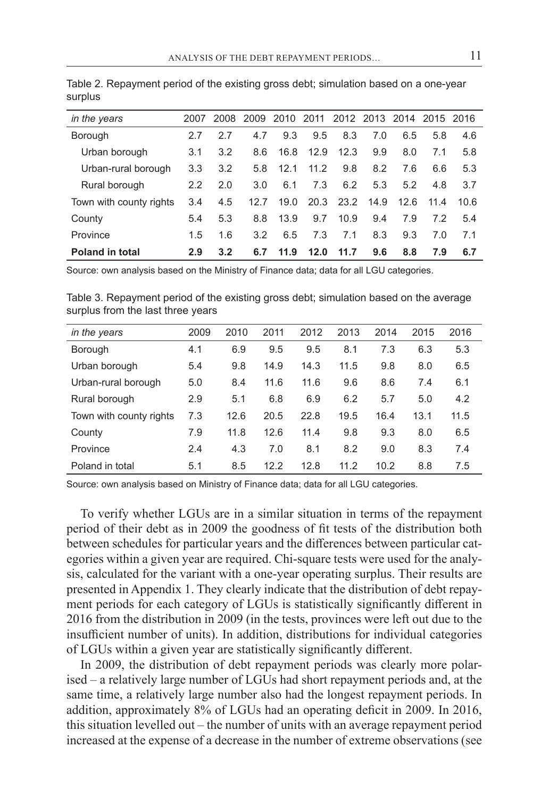| in the years            | 2007          |     | 2008 2009 2010 2011 2012 2013 2014 2015 2016 |      |      |                |     |      |      |      |
|-------------------------|---------------|-----|----------------------------------------------|------|------|----------------|-----|------|------|------|
| <b>Borough</b>          | 2.7           | 2.7 | 4.7                                          | 9.3  | 9.5  | 8.3            | 7.0 | 6.5  | 5.8  | 4.6  |
| Urban borough           | 3.1           | 3.2 | 8.6                                          | 16.8 | 12.9 | 12.3           | 9.9 | 8.0  | 7.1  | 5.8  |
| Urban-rural borough     | 3.3           | 3.2 | 5.8                                          | 12.1 | 11.2 | 9.8            | 8.2 | 7.6  | 6.6  | 5.3  |
| Rural borough           | $2.2^{\circ}$ | 2.0 | 3.0                                          | 6.1  | 7.3  | 6.2            | 5.3 | 5.2  | 4.8  | 3.7  |
| Town with county rights | 3.4           | 4.5 | 12.7                                         | 19.0 |      | 20.3 23.2 14.9 |     | 12.6 | 11.4 | 10.6 |
| County                  | 5.4           | 5.3 | 8.8                                          | 13.9 | 9.7  | 10.9           | 9.4 | 7.9  | 7.2  | 5.4  |
| Province                | 1.5           | 1.6 | 3.2                                          | 6.5  | 7.3  | 7.1            | 8.3 | 9.3  | 7.0  | 7.1  |
| <b>Poland in total</b>  | 2.9           | 3.2 | 6.7                                          | 11.9 | 12.0 | 11.7           | 9.6 | 8.8  | 7.9  | 6.7  |

Table 2. Repayment period of the existing gross debt; simulation based on a one-year surplus

Source: own analysis based on the Ministry of Finance data; data for all LGU categories.

Table 3. Repayment period of the existing gross debt; simulation based on the average surplus from the last three years

| in the years            | 2009 | 2010 | 2011 | 2012 | 2013 | 2014 | 2015 | 2016 |
|-------------------------|------|------|------|------|------|------|------|------|
| Borough                 | 4.1  | 6.9  | 9.5  | 9.5  | 8.1  | 7.3  | 6.3  | 5.3  |
| Urban borough           | 5.4  | 9.8  | 14.9 | 14.3 | 11.5 | 9.8  | 8.0  | 6.5  |
| Urban-rural borough     | 5.0  | 8.4  | 11.6 | 11.6 | 9.6  | 8.6  | 7.4  | 6.1  |
| Rural borough           | 2.9  | 5.1  | 6.8  | 6.9  | 6.2  | 5.7  | 5.0  | 4.2  |
| Town with county rights | 7.3  | 12.6 | 20.5 | 22.8 | 19.5 | 16.4 | 13.1 | 11.5 |
| County                  | 7.9  | 11.8 | 12.6 | 11.4 | 9.8  | 9.3  | 8.0  | 6.5  |
| Province                | 2.4  | 4.3  | 7.0  | 8.1  | 8.2  | 9.0  | 8.3  | 7.4  |
| Poland in total         | 5.1  | 8.5  | 12.2 | 12.8 | 11.2 | 10.2 | 8.8  | 7.5  |

Source: own analysis based on Ministry of Finance data; data for all LGU categories.

To verify whether LGUs are in a similar situation in terms of the repayment period of their debt as in 2009 the goodness of fit tests of the distribution both between schedules for particular years and the differences between particular categories within a given year are required. Chi-square tests were used for the analysis, calculated for the variant with a one-year operating surplus. Their results are presented in Appendix 1. They clearly indicate that the distribution of debt repayment periods for each category of LGUs is statistically significantly different in 2016 from the distribution in 2009 (in the tests, provinces were left out due to the insufficient number of units). In addition, distributions for individual categories of LGUs within a given year are statistically significantly different.

In 2009, the distribution of debt repayment periods was clearly more polarised – a relatively large number of LGUs had short repayment periods and, at the same time, a relatively large number also had the longest repayment periods. In addition, approximately 8% of LGUs had an operating deficit in 2009. In 2016, this situation levelled out – the number of units with an average repayment period increased at the expense of a decrease in the number of extreme observations (see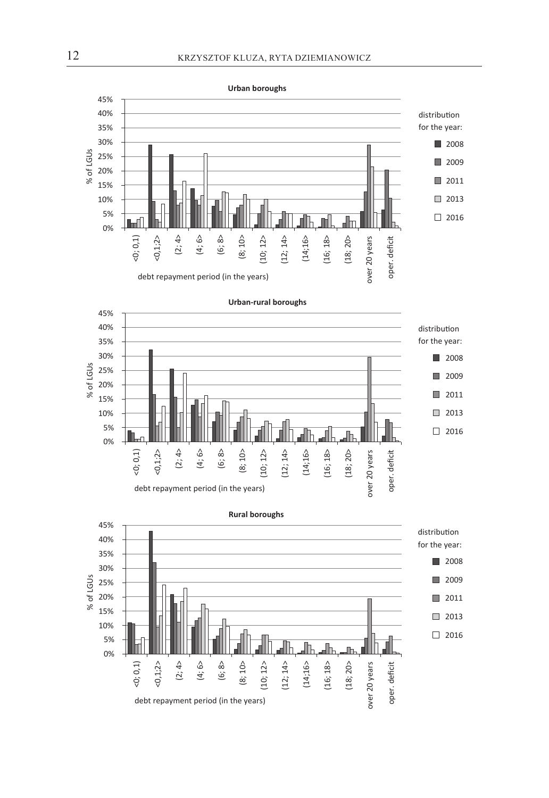

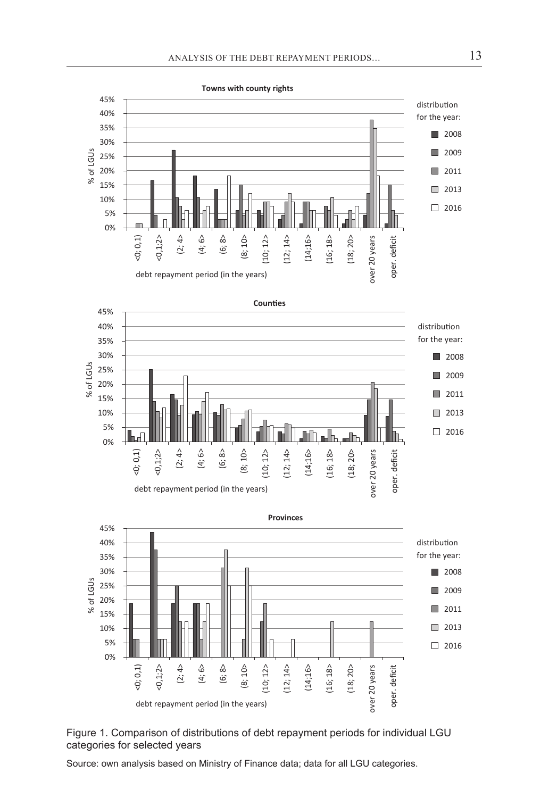



Source: own analysis based on Ministry of Finance data; data for all LGU categories.

debt repayment period (in the years)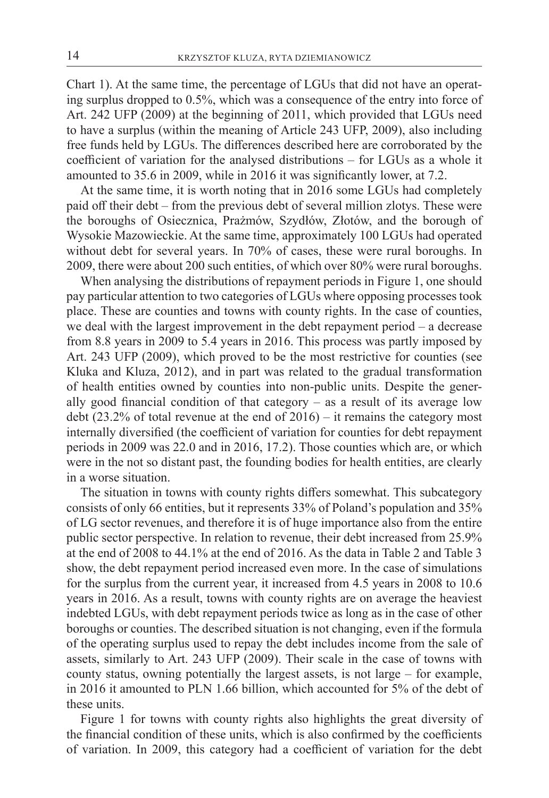Chart 1). At the same time, the percentage of LGUs that did not have an operating surplus dropped to 0.5%, which was a consequence of the entry into force of Art. 242 UFP (2009) at the beginning of 2011, which provided that LGUs need to have a surplus (within the meaning of Article 243 UFP, 2009), also including free funds held by LGUs. The differences described here are corroborated by the coefficient of variation for the analysed distributions – for LGUs as a whole it amounted to 35.6 in 2009, while in 2016 it was significantly lower, at 7.2.

At the same time, it is worth noting that in 2016 some LGUs had completely paid off their debt – from the previous debt of several million zlotys. These were the boroughs of Osiecznica, Prażmów, Szydłów, Złotów, and the borough of Wysokie Mazowieckie. At the same time, approximately 100 LGUs had operated without debt for several years. In 70% of cases, these were rural boroughs. In 2009, there were about 200 such entities, of which over 80% were rural boroughs.

When analysing the distributions of repayment periods in Figure 1, one should pay particular attention to two categories of LGUs where opposing processestook place. These are counties and towns with county rights. In the case of counties, we deal with the largest improvement in the debt repayment period – a decrease from 8.8 years in 2009 to 5.4 years in 2016. This process was partly imposed by Art. 243 UFP (2009), which proved to be the most restrictive for counties (see Kluka and Kluza, 2012), and in part was related to the gradual transformation of health entities owned by counties into non-public units. Despite the generally good financial condition of that category – as a result of its average low debt  $(23.2\%$  of total revenue at the end of  $2016$  – it remains the category most internally diversified (the coefficient of variation for counties for debt repayment periods in 2009 was 22.0 and in 2016, 17.2). Those counties which are, or which were in the not so distant past, the founding bodies for health entities, are clearly in a worse situation.

The situation in towns with county rights differs somewhat. This subcategory consists of only 66 entities, but it represents 33% of Poland's population and 35% of LG sector revenues, and therefore it is of huge importance also from the entire public sector perspective. In relation to revenue, their debt increased from 25.9% at the end of 2008 to 44.1% at the end of 2016. As the data in Table 2 and Table 3 show, the debt repayment period increased even more. In the case of simulations for the surplus from the current year, it increased from 4.5 years in 2008 to 10.6 years in 2016. As a result, towns with county rights are on average the heaviest indebted LGUs, with debt repayment periods twice as long as in the case of other boroughs or counties. The described situation is not changing, even if the formula of the operating surplus used to repay the debt includes income from the sale of assets, similarly to Art. 243 UFP (2009). Their scale in the case of towns with county status, owning potentially the largest assets, is not large – for example, in 2016 it amounted to PLN 1.66 billion, which accounted for 5% of the debt of these units.

Figure 1 for towns with county rights also highlights the great diversity of the financial condition of these units, which is also confirmed by the coefficients of variation. In 2009, this category had a coefficient of variation for the debt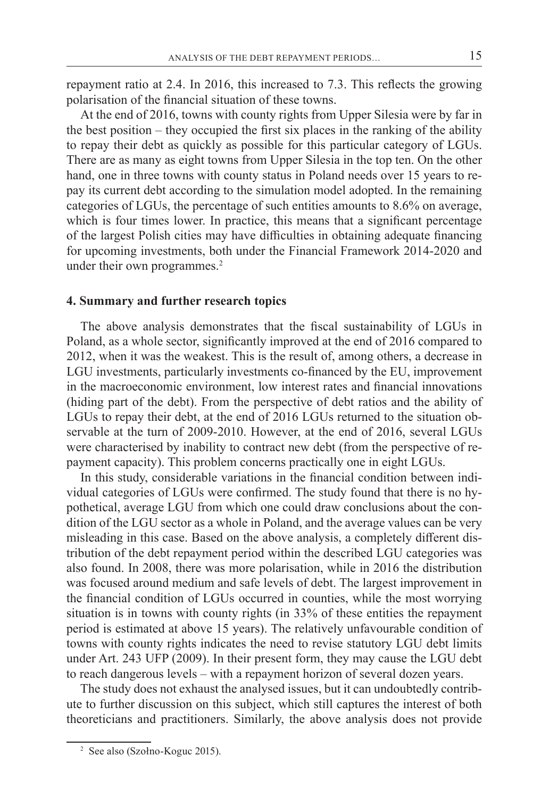repayment ratio at 2.4. In 2016, this increased to 7.3. This reflects the growing polarisation of the financial situation of these towns.

At the end of 2016, towns with county rights from Upper Silesia were by far in the best position – they occupied the first six places in the ranking of the ability to repay their debt as quickly as possible for this particular category of LGUs. There are as many as eight towns from Upper Silesia in the top ten. On the other hand, one in three towns with county status in Poland needs over 15 years to repay its current debt according to the simulation model adopted. In the remaining categories of LGUs, the percentage of such entities amounts to 8.6% on average, which is four times lower. In practice, this means that a significant percentage of the largest Polish cities may have difficulties in obtaining adequate financing for upcoming investments, both under the Financial Framework 2014-2020 and under their own programmes.<sup>2</sup>

#### **4. Summary and further research topics**

The above analysis demonstrates that the fiscal sustainability of LGUs in Poland, as a whole sector, significantly improved at the end of 2016 compared to 2012, when it was the weakest. This is the result of, among others, a decrease in LGU investments, particularly investments co-financed by the EU, improvement in the macroeconomic environment, low interest rates and financial innovations (hiding part of the debt). From the perspective of debt ratios and the ability of LGUs to repay their debt, at the end of 2016 LGUs returned to the situation observable at the turn of 2009-2010. However, at the end of 2016, several LGUs were characterised by inability to contract new debt (from the perspective of repayment capacity). This problem concerns practically one in eight LGUs.

In this study, considerable variations in the financial condition between individual categories of LGUs were confirmed. The study found that there is no hypothetical, average LGU from which one could draw conclusions about the condition of the LGU sector as a whole in Poland, and the average values can be very misleading in this case. Based on the above analysis, a completely different distribution of the debt repayment period within the described LGU categories was also found. In 2008, there was more polarisation, while in 2016 the distribution was focused around medium and safe levels of debt. The largest improvement in the financial condition of LGUs occurred in counties, while the most worrying situation is in towns with county rights (in 33% of these entities the repayment period is estimated at above 15 years). The relatively unfavourable condition of towns with county rights indicates the need to revise statutory LGU debt limits under Art. 243 UFP (2009). In their present form, they may cause the LGU debt to reach dangerous levels – with a repayment horizon of several dozen years.

The study does not exhaust the analysed issues, but it can undoubtedly contribute to further discussion on this subject, which still captures the interest of both theoreticians and practitioners. Similarly, the above analysis does not provide

<sup>2</sup> See also (Szołno-Koguc 2015).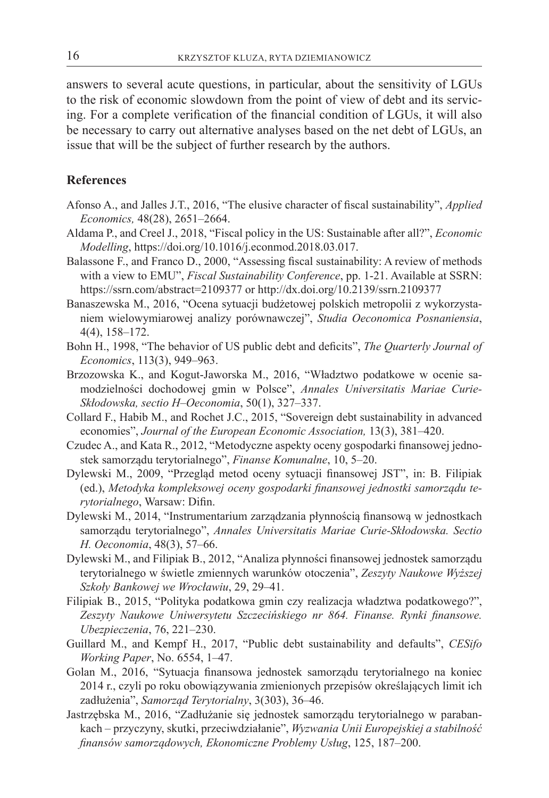answers to several acute questions, in particular, about the sensitivity of LGUs to the risk of economic slowdown from the point of view of debt and its servicing. For a complete verification of the financial condition of LGUs, it will also be necessary to carry out alternative analyses based on the net debt of LGUs, an issue that will be the subject of further research by the authors.

#### **References**

- Afonso A., and Jalles J.T., 2016, "The elusive character of fiscal sustainability", *Applied Economics,* 48(28), 2651–2664.
- Aldama P., and Creel J., 2018, "Fiscal policy in the US: Sustainable after all?", *Economic Modelling*, https://doi.org/10.1016/j.econmod.2018.03.017.
- Balassone F., and Franco D., 2000, "Assessing fiscal sustainability: A review of methods with a view to EMU", *Fiscal Sustainability Conference*, pp. 1-21. Available at SSRN: https://ssrn.com/abstract=2109377 or http://dx.doi.org/10.2139/ssrn.2109377
- Banaszewska M., 2016, "Ocena sytuacji budżetowej polskich metropolii z wykorzystaniem wielowymiarowej analizy porównawczej", *Studia Oeconomica Posnaniensia*, 4(4), 158–172.
- Bohn H., 1998, "The behavior of US public debt and deficits", *The Quarterly Journal of Economics*, 113(3), 949–963.
- Brzozowska K., and Kogut-Jaworska M., 2016, "Władztwo podatkowe w ocenie samodzielności dochodowej gmin w Polsce", *Annales Universitatis Mariae Curie-Skłodowska, sectio H–Oeconomia*, 50(1), 327–337.
- Collard F., Habib M., and Rochet J.C., 2015, "Sovereign debt sustainability in advanced economies", *Journal of the European Economic Association,* 13(3), 381–420.
- Czudec A., and Kata R., 2012, "Metodyczne aspekty oceny gospodarki finansowej jednostek samorządu terytorialnego", *Finanse Komunalne*, 10, 5–20.
- Dylewski M., 2009, "Przegląd metod oceny sytuacji finansowej JST", in: B. Filipiak (ed.), *Metodyka kompleksowej oceny gospodarki finansowej jednostki samorządu terytorialnego*, Warsaw: Difin.
- Dylewski M., 2014, "Instrumentarium zarządzania płynnością finansową w jednostkach samorządu terytorialnego", *Annales Universitatis Mariae Curie-Skłodowska. Sectio H. Oeconomia*, 48(3), 57–66.
- Dylewski M., and Filipiak B., 2012, "Analiza płynności finansowej jednostek samorządu terytorialnego w świetle zmiennych warunków otoczenia", *Zeszyty Naukowe Wyższej Szkoły Bankowej we Wrocławiu*, 29, 29–41.
- Filipiak B., 2015, "Polityka podatkowa gmin czy realizacja władztwa podatkowego?", *Zeszyty Naukowe Uniwersytetu Szczecińskiego nr 864. Finanse. Rynki finansowe. Ubezpieczenia*, 76, 221–230.
- Guillard M., and Kempf H., 2017, "Public debt sustainability and defaults", *CESifo Working Paper*, No. 6554, 1–47.
- Golan M., 2016, "Sytuacja finansowa jednostek samorządu terytorialnego na koniec 2014 r., czyli po roku obowiązywania zmienionych przepisów określających limit ich zadłużenia", *Samorząd Terytorialny*, 3(303), 36–46.
- Jastrzębska M., 2016, "Zadłużanie się jednostek samorządu terytorialnego w parabankach – przyczyny, skutki, przeciwdziałanie", *Wyzwania Unii Europejskiej a stabilność finansów samorządowych, Ekonomiczne Problemy Usług*, 125, 187–200.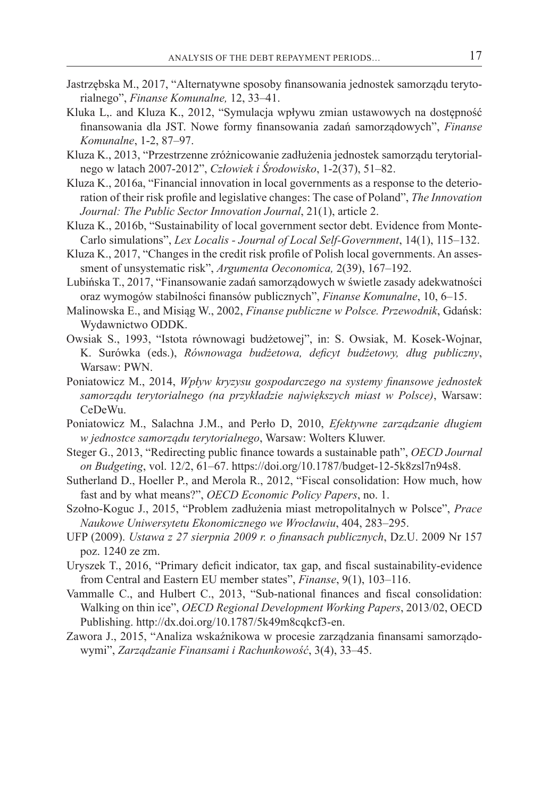- Jastrzębska M., 2017, "Alternatywne sposoby finansowania jednostek samorządu terytorialnego", *Finanse Komunalne,* 12, 33–41.
- Kluka L,. and Kluza K., 2012, "Symulacja wpływu zmian ustawowych na dostępność finansowania dla JST. Nowe formy finansowania zadań samorządowych", *Finanse Komunalne*, 1-2, 87–97.
- Kluza K., 2013, "Przestrzenne zróżnicowanie zadłużenia jednostek samorządu terytorialnego w latach 2007-2012", *Człowiek i Środowisko*, 1-2(37), 51–82.
- Kluza K., 2016a, "Financial innovation in local governments as a response to the deterioration of their risk profile and legislative changes: The case of Poland", *The Innovation Journal: The Public Sector Innovation Journal*, 21(1), article 2.
- Kluza K., 2016b, "Sustainability of local government sector debt. Evidence from Monte-Carlo simulations", *Lex Localis - Journal of Local Self-Government*, 14(1), 115–132.
- Kluza K., 2017, "Changes in the credit risk profile of Polish local governments. An assessment of unsystematic risk", *Argumenta Oeconomica,* 2(39), 167–192.
- Lubińska T., 2017, "Finansowanie zadań samorządowych w świetle zasady adekwatności oraz wymogów stabilności finansów publicznych", *Finanse Komunalne*, 10, 6–15.
- Malinowska E., and Misiąg W., 2002, *Finanse publiczne w Polsce. Przewodnik*, Gdańsk: Wydawnictwo ODDK.
- Owsiak S., 1993, "Istota równowagi budżetowej", in: S. Owsiak, M. Kosek-Wojnar, K. Surówka (eds.), *Równowaga budżetowa, deficyt budżetowy, dług publiczny*, Warsaw: PWN.
- Poniatowicz M., 2014, *Wpływ kryzysu gospodarczego na systemy finansowe jednostek samorządu terytorialnego (na przykładzie największych miast w Polsce)*, Warsaw: CeDeWu.
- Poniatowicz M., Salachna J.M., and Perło D, 2010, *Efektywne zarządzanie długiem w jednostce samorządu terytorialnego*, Warsaw: Wolters Kluwer.
- Steger G., 2013, "Redirecting public finance towards a sustainable path", *OECD Journal on Budgeting*, vol. 12/2, 61–67. https://doi.org/10.1787/budget-12-5k8zsl7n94s8.
- Sutherland D., Hoeller P., and Merola R., 2012, "Fiscal consolidation: How much, how fast and by what means?", *OECD Economic Policy Papers*, no. 1.
- Szołno-Koguc J., 2015, "Problem zadłużenia miast metropolitalnych w Polsce", *Prace Naukowe Uniwersytetu Ekonomicznego we Wrocławiu*, 404, 283–295.
- UFP (2009). *Ustawa z 27 sierpnia 2009 r. o finansach publicznych*, Dz.U. 2009 Nr 157 poz. 1240 ze zm.
- Uryszek T., 2016, "Primary deficit indicator, tax gap, and fiscal sustainability-evidence from Central and Eastern EU member states", *Finanse*, 9(1), 103–116.
- Vammalle C., and Hulbert C., 2013, "Sub-national finances and fiscal consolidation: Walking on thin ice", *OECD Regional Development Working Papers*, 2013/02, OECD Publishing. http://dx.doi.org/10.1787/5k49m8cqkcf3-en.
- Zawora J., 2015, "Analiza wskaźnikowa w procesie zarządzania finansami samorządowymi", *Zarządzanie Finansami i Rachunkowość*, 3(4), 33–45.